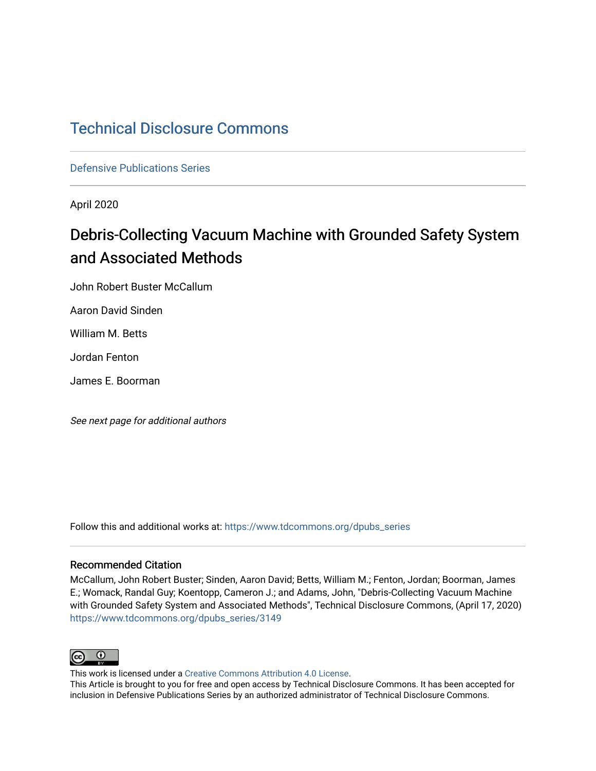# [Technical Disclosure Commons](https://www.tdcommons.org/)

[Defensive Publications Series](https://www.tdcommons.org/dpubs_series)

April 2020

# Debris-Collecting Vacuum Machine with Grounded Safety System and Associated Methods

John Robert Buster McCallum

Aaron David Sinden

William M. Betts

Jordan Fenton

James E. Boorman

See next page for additional authors

Follow this and additional works at: [https://www.tdcommons.org/dpubs\\_series](https://www.tdcommons.org/dpubs_series?utm_source=www.tdcommons.org%2Fdpubs_series%2F3149&utm_medium=PDF&utm_campaign=PDFCoverPages) 

#### Recommended Citation

McCallum, John Robert Buster; Sinden, Aaron David; Betts, William M.; Fenton, Jordan; Boorman, James E.; Womack, Randal Guy; Koentopp, Cameron J.; and Adams, John, "Debris-Collecting Vacuum Machine with Grounded Safety System and Associated Methods", Technical Disclosure Commons, (April 17, 2020) [https://www.tdcommons.org/dpubs\\_series/3149](https://www.tdcommons.org/dpubs_series/3149?utm_source=www.tdcommons.org%2Fdpubs_series%2F3149&utm_medium=PDF&utm_campaign=PDFCoverPages)



This work is licensed under a [Creative Commons Attribution 4.0 License](http://creativecommons.org/licenses/by/4.0/deed.en_US).

This Article is brought to you for free and open access by Technical Disclosure Commons. It has been accepted for inclusion in Defensive Publications Series by an authorized administrator of Technical Disclosure Commons.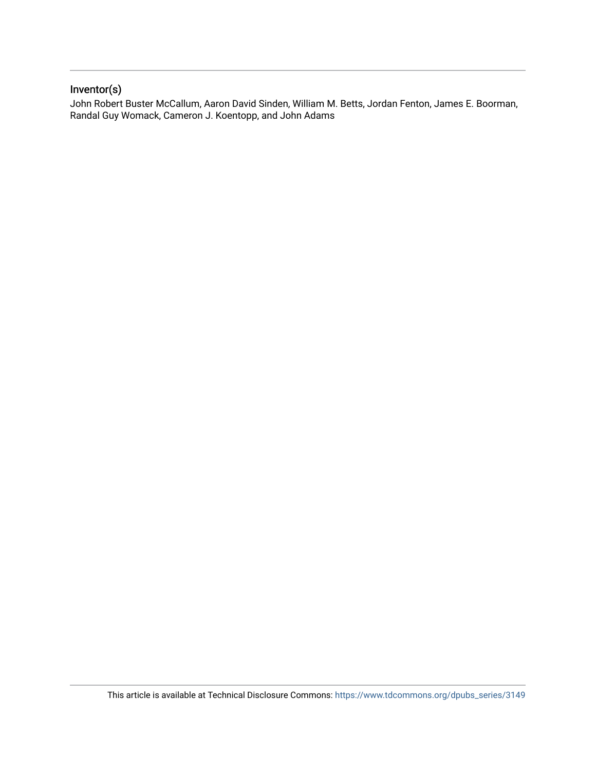## Inventor(s)

John Robert Buster McCallum, Aaron David Sinden, William M. Betts, Jordan Fenton, James E. Boorman, Randal Guy Womack, Cameron J. Koentopp, and John Adams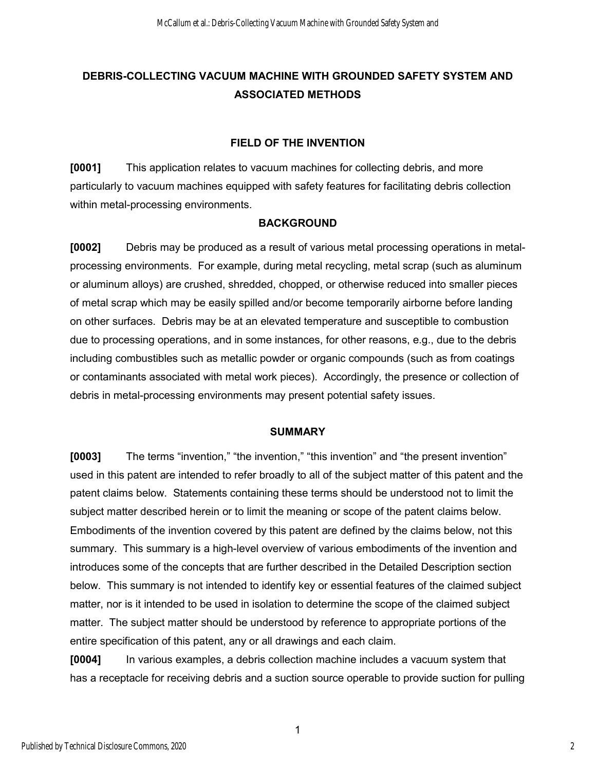# **DEBRIS-COLLECTING VACUUM MACHINE WITH GROUNDED SAFETY SYSTEM AND ASSOCIATED METHODS**

#### **FIELD OF THE INVENTION**

**[0001]** This application relates to vacuum machines for collecting debris, and more particularly to vacuum machines equipped with safety features for facilitating debris collection within metal-processing environments.

#### **BACKGROUND**

**[0002]** Debris may be produced as a result of various metal processing operations in metalprocessing environments. For example, during metal recycling, metal scrap (such as aluminum or aluminum alloys) are crushed, shredded, chopped, or otherwise reduced into smaller pieces of metal scrap which may be easily spilled and/or become temporarily airborne before landing on other surfaces. Debris may be at an elevated temperature and susceptible to combustion due to processing operations, and in some instances, for other reasons, e.g., due to the debris including combustibles such as metallic powder or organic compounds (such as from coatings or contaminants associated with metal work pieces). Accordingly, the presence or collection of debris in metal-processing environments may present potential safety issues.

#### **SUMMARY**

**[0003]** The terms "invention," "the invention," "this invention" and "the present invention" used in this patent are intended to refer broadly to all of the subject matter of this patent and the patent claims below. Statements containing these terms should be understood not to limit the subject matter described herein or to limit the meaning or scope of the patent claims below. Embodiments of the invention covered by this patent are defined by the claims below, not this summary. This summary is a high-level overview of various embodiments of the invention and introduces some of the concepts that are further described in the Detailed Description section below. This summary is not intended to identify key or essential features of the claimed subject matter, nor is it intended to be used in isolation to determine the scope of the claimed subject matter. The subject matter should be understood by reference to appropriate portions of the entire specification of this patent, any or all drawings and each claim.

**[0004]** In various examples, a debris collection machine includes a vacuum system that has a receptacle for receiving debris and a suction source operable to provide suction for pulling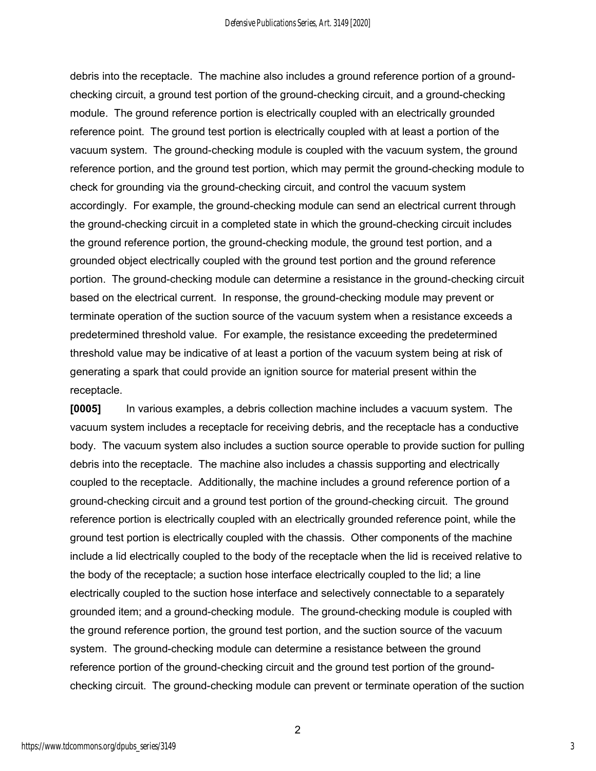debris into the receptacle. The machine also includes a ground reference portion of a groundchecking circuit, a ground test portion of the ground-checking circuit, and a ground-checking module. The ground reference portion is electrically coupled with an electrically grounded reference point. The ground test portion is electrically coupled with at least a portion of the vacuum system. The ground-checking module is coupled with the vacuum system, the ground reference portion, and the ground test portion, which may permit the ground-checking module to check for grounding via the ground-checking circuit, and control the vacuum system accordingly. For example, the ground-checking module can send an electrical current through the ground-checking circuit in a completed state in which the ground-checking circuit includes the ground reference portion, the ground-checking module, the ground test portion, and a grounded object electrically coupled with the ground test portion and the ground reference portion. The ground-checking module can determine a resistance in the ground-checking circuit based on the electrical current. In response, the ground-checking module may prevent or terminate operation of the suction source of the vacuum system when a resistance exceeds a predetermined threshold value. For example, the resistance exceeding the predetermined threshold value may be indicative of at least a portion of the vacuum system being at risk of generating a spark that could provide an ignition source for material present within the receptacle.

**[0005]** In various examples, a debris collection machine includes a vacuum system. The vacuum system includes a receptacle for receiving debris, and the receptacle has a conductive body. The vacuum system also includes a suction source operable to provide suction for pulling debris into the receptacle. The machine also includes a chassis supporting and electrically coupled to the receptacle. Additionally, the machine includes a ground reference portion of a ground-checking circuit and a ground test portion of the ground-checking circuit. The ground reference portion is electrically coupled with an electrically grounded reference point, while the ground test portion is electrically coupled with the chassis. Other components of the machine include a lid electrically coupled to the body of the receptacle when the lid is received relative to the body of the receptacle; a suction hose interface electrically coupled to the lid; a line electrically coupled to the suction hose interface and selectively connectable to a separately grounded item; and a ground-checking module. The ground-checking module is coupled with the ground reference portion, the ground test portion, and the suction source of the vacuum system. The ground-checking module can determine a resistance between the ground reference portion of the ground-checking circuit and the ground test portion of the groundchecking circuit. The ground-checking module can prevent or terminate operation of the suction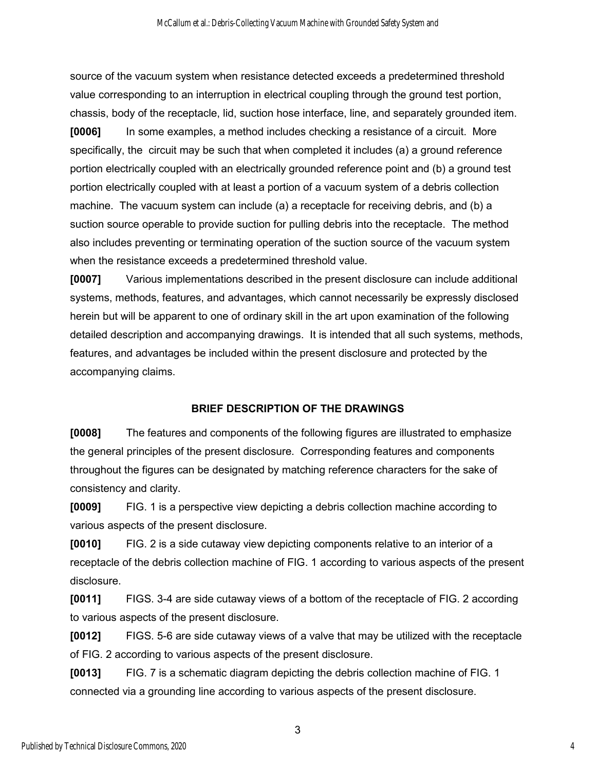source of the vacuum system when resistance detected exceeds a predetermined threshold value corresponding to an interruption in electrical coupling through the ground test portion, chassis, body of the receptacle, lid, suction hose interface, line, and separately grounded item.

**[0006]** In some examples, a method includes checking a resistance of a circuit. More specifically, the circuit may be such that when completed it includes (a) a ground reference portion electrically coupled with an electrically grounded reference point and (b) a ground test portion electrically coupled with at least a portion of a vacuum system of a debris collection machine. The vacuum system can include (a) a receptacle for receiving debris, and (b) a suction source operable to provide suction for pulling debris into the receptacle. The method also includes preventing or terminating operation of the suction source of the vacuum system when the resistance exceeds a predetermined threshold value.

**[0007]** Various implementations described in the present disclosure can include additional systems, methods, features, and advantages, which cannot necessarily be expressly disclosed herein but will be apparent to one of ordinary skill in the art upon examination of the following detailed description and accompanying drawings. It is intended that all such systems, methods, features, and advantages be included within the present disclosure and protected by the accompanying claims.

## **BRIEF DESCRIPTION OF THE DRAWINGS**

**[0008]** The features and components of the following figures are illustrated to emphasize the general principles of the present disclosure. Corresponding features and components throughout the figures can be designated by matching reference characters for the sake of consistency and clarity.

**[0009]** FIG. 1 is a perspective view depicting a debris collection machine according to various aspects of the present disclosure.

**[0010]** FIG. 2 is a side cutaway view depicting components relative to an interior of a receptacle of the debris collection machine of FIG. 1 according to various aspects of the present disclosure.

**[0011]** FIGS. 3-4 are side cutaway views of a bottom of the receptacle of FIG. 2 according to various aspects of the present disclosure.

**[0012]** FIGS. 5-6 are side cutaway views of a valve that may be utilized with the receptacle of FIG. 2 according to various aspects of the present disclosure.

**[0013]** FIG. 7 is a schematic diagram depicting the debris collection machine of FIG. 1 connected via a grounding line according to various aspects of the present disclosure.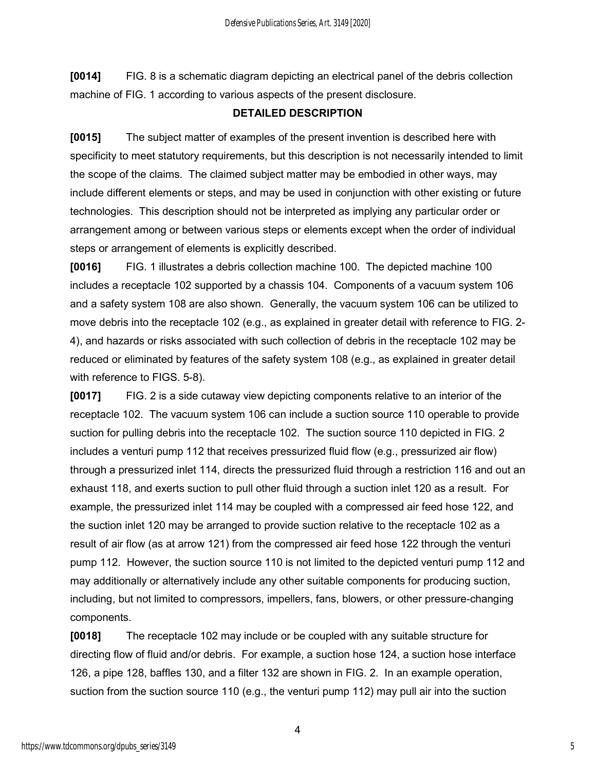**[0014]** FIG. 8 is a schematic diagram depicting an electrical panel of the debris collection machine of FIG. 1 according to various aspects of the present disclosure.

#### **DETAILED DESCRIPTION**

**[0015]** The subject matter of examples of the present invention is described here with specificity to meet statutory requirements, but this description is not necessarily intended to limit the scope of the claims. The claimed subject matter may be embodied in other ways, may include different elements or steps, and may be used in conjunction with other existing or future technologies. This description should not be interpreted as implying any particular order or arrangement among or between various steps or elements except when the order of individual steps or arrangement of elements is explicitly described.

**[0016]** FIG. 1 illustrates a debris collection machine 100. The depicted machine 100 includes a receptacle 102 supported by a chassis 104. Components of a vacuum system 106 and a safety system 108 are also shown. Generally, the vacuum system 106 can be utilized to move debris into the receptacle 102 (e.g., as explained in greater detail with reference to FIG. 2- 4), and hazards or risks associated with such collection of debris in the receptacle 102 may be reduced or eliminated by features of the safety system 108 (e.g., as explained in greater detail with reference to FIGS. 5-8).

**[0017]** FIG. 2 is a side cutaway view depicting components relative to an interior of the receptacle 102. The vacuum system 106 can include a suction source 110 operable to provide suction for pulling debris into the receptacle 102. The suction source 110 depicted in FIG. 2 includes a venturi pump 112 that receives pressurized fluid flow (e.g., pressurized air flow) through a pressurized inlet 114, directs the pressurized fluid through a restriction 116 and out an exhaust 118, and exerts suction to pull other fluid through a suction inlet 120 as a result. For example, the pressurized inlet 114 may be coupled with a compressed air feed hose 122, and the suction inlet 120 may be arranged to provide suction relative to the receptacle 102 as a result of air flow (as at arrow 121) from the compressed air feed hose 122 through the venturi pump 112. However, the suction source 110 is not limited to the depicted venturi pump 112 and may additionally or alternatively include any other suitable components for producing suction, including, but not limited to compressors, impellers, fans, blowers, or other pressure-changing components.

**[0018]** The receptacle 102 may include or be coupled with any suitable structure for directing flow of fluid and/or debris. For example, a suction hose 124, a suction hose interface 126, a pipe 128, baffles 130, and a filter 132 are shown in FIG. 2. In an example operation, suction from the suction source 110 (e.g., the venturi pump 112) may pull air into the suction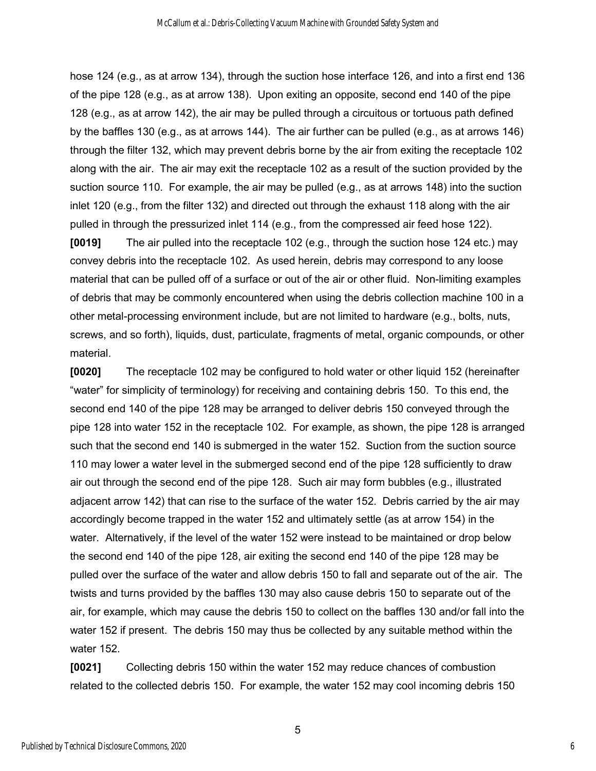hose 124 (e.g., as at arrow 134), through the suction hose interface 126, and into a first end 136 of the pipe 128 (e.g., as at arrow 138). Upon exiting an opposite, second end 140 of the pipe 128 (e.g., as at arrow 142), the air may be pulled through a circuitous or tortuous path defined by the baffles 130 (e.g., as at arrows 144). The air further can be pulled (e.g., as at arrows 146) through the filter 132, which may prevent debris borne by the air from exiting the receptacle 102 along with the air. The air may exit the receptacle 102 as a result of the suction provided by the suction source 110. For example, the air may be pulled (e.g., as at arrows 148) into the suction inlet 120 (e.g., from the filter 132) and directed out through the exhaust 118 along with the air pulled in through the pressurized inlet 114 (e.g., from the compressed air feed hose 122).

**[0019]** The air pulled into the receptacle 102 (e.g., through the suction hose 124 etc.) may convey debris into the receptacle 102. As used herein, debris may correspond to any loose material that can be pulled off of a surface or out of the air or other fluid. Non-limiting examples of debris that may be commonly encountered when using the debris collection machine 100 in a other metal-processing environment include, but are not limited to hardware (e.g., bolts, nuts, screws, and so forth), liquids, dust, particulate, fragments of metal, organic compounds, or other material.

**[0020]** The receptacle 102 may be configured to hold water or other liquid 152 (hereinafter "water" for simplicity of terminology) for receiving and containing debris 150. To this end, the second end 140 of the pipe 128 may be arranged to deliver debris 150 conveyed through the pipe 128 into water 152 in the receptacle 102. For example, as shown, the pipe 128 is arranged such that the second end 140 is submerged in the water 152. Suction from the suction source 110 may lower a water level in the submerged second end of the pipe 128 sufficiently to draw air out through the second end of the pipe 128. Such air may form bubbles (e.g., illustrated adjacent arrow 142) that can rise to the surface of the water 152. Debris carried by the air may accordingly become trapped in the water 152 and ultimately settle (as at arrow 154) in the water. Alternatively, if the level of the water 152 were instead to be maintained or drop below the second end 140 of the pipe 128, air exiting the second end 140 of the pipe 128 may be pulled over the surface of the water and allow debris 150 to fall and separate out of the air. The twists and turns provided by the baffles 130 may also cause debris 150 to separate out of the air, for example, which may cause the debris 150 to collect on the baffles 130 and/or fall into the water 152 if present. The debris 150 may thus be collected by any suitable method within the water 152.

**[0021]** Collecting debris 150 within the water 152 may reduce chances of combustion related to the collected debris 150. For example, the water 152 may cool incoming debris 150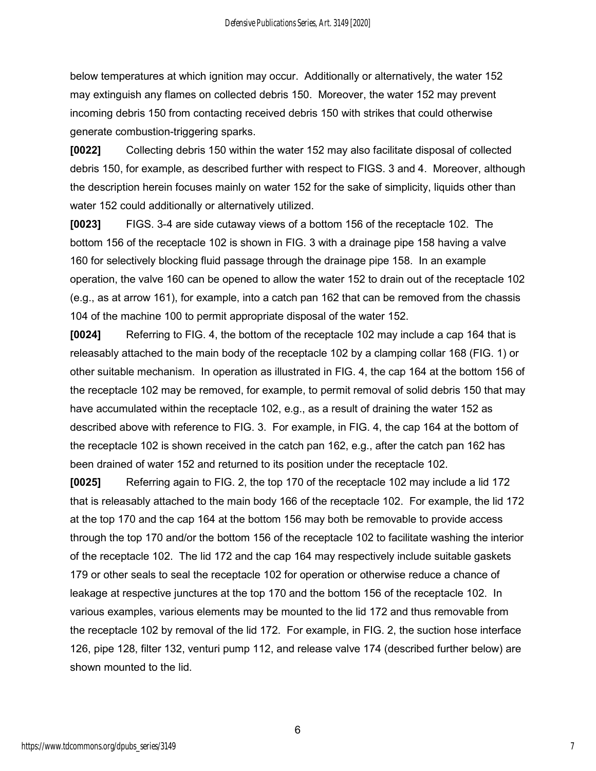below temperatures at which ignition may occur. Additionally or alternatively, the water 152 may extinguish any flames on collected debris 150. Moreover, the water 152 may prevent incoming debris 150 from contacting received debris 150 with strikes that could otherwise generate combustion-triggering sparks.

**[0022]** Collecting debris 150 within the water 152 may also facilitate disposal of collected debris 150, for example, as described further with respect to FIGS. 3 and 4. Moreover, although the description herein focuses mainly on water 152 for the sake of simplicity, liquids other than water 152 could additionally or alternatively utilized.

**[0023]** FIGS. 3-4 are side cutaway views of a bottom 156 of the receptacle 102. The bottom 156 of the receptacle 102 is shown in FIG. 3 with a drainage pipe 158 having a valve 160 for selectively blocking fluid passage through the drainage pipe 158. In an example operation, the valve 160 can be opened to allow the water 152 to drain out of the receptacle 102 (e.g., as at arrow 161), for example, into a catch pan 162 that can be removed from the chassis 104 of the machine 100 to permit appropriate disposal of the water 152.

**[0024]** Referring to FIG. 4, the bottom of the receptacle 102 may include a cap 164 that is releasably attached to the main body of the receptacle 102 by a clamping collar 168 (FIG. 1) or other suitable mechanism. In operation as illustrated in FIG. 4, the cap 164 at the bottom 156 of the receptacle 102 may be removed, for example, to permit removal of solid debris 150 that may have accumulated within the receptacle 102, e.g., as a result of draining the water 152 as described above with reference to FIG. 3. For example, in FIG. 4, the cap 164 at the bottom of the receptacle 102 is shown received in the catch pan 162, e.g., after the catch pan 162 has been drained of water 152 and returned to its position under the receptacle 102.

**[0025]** Referring again to FIG. 2, the top 170 of the receptacle 102 may include a lid 172 that is releasably attached to the main body 166 of the receptacle 102. For example, the lid 172 at the top 170 and the cap 164 at the bottom 156 may both be removable to provide access through the top 170 and/or the bottom 156 of the receptacle 102 to facilitate washing the interior of the receptacle 102. The lid 172 and the cap 164 may respectively include suitable gaskets 179 or other seals to seal the receptacle 102 for operation or otherwise reduce a chance of leakage at respective junctures at the top 170 and the bottom 156 of the receptacle 102. In various examples, various elements may be mounted to the lid 172 and thus removable from the receptacle 102 by removal of the lid 172. For example, in FIG. 2, the suction hose interface 126, pipe 128, filter 132, venturi pump 112, and release valve 174 (described further below) are shown mounted to the lid.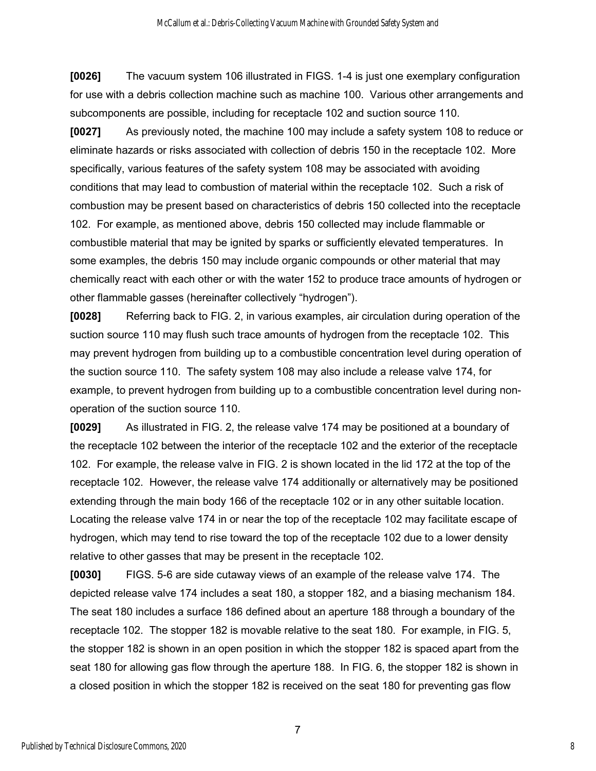**[0026]** The vacuum system 106 illustrated in FIGS. 1-4 is just one exemplary configuration for use with a debris collection machine such as machine 100. Various other arrangements and subcomponents are possible, including for receptacle 102 and suction source 110.

**[0027]** As previously noted, the machine 100 may include a safety system 108 to reduce or eliminate hazards or risks associated with collection of debris 150 in the receptacle 102. More specifically, various features of the safety system 108 may be associated with avoiding conditions that may lead to combustion of material within the receptacle 102. Such a risk of combustion may be present based on characteristics of debris 150 collected into the receptacle 102. For example, as mentioned above, debris 150 collected may include flammable or combustible material that may be ignited by sparks or sufficiently elevated temperatures. In some examples, the debris 150 may include organic compounds or other material that may chemically react with each other or with the water 152 to produce trace amounts of hydrogen or other flammable gasses (hereinafter collectively "hydrogen").

**[0028]** Referring back to FIG. 2, in various examples, air circulation during operation of the suction source 110 may flush such trace amounts of hydrogen from the receptacle 102. This may prevent hydrogen from building up to a combustible concentration level during operation of the suction source 110. The safety system 108 may also include a release valve 174, for example, to prevent hydrogen from building up to a combustible concentration level during nonoperation of the suction source 110.

**[0029]** As illustrated in FIG. 2, the release valve 174 may be positioned at a boundary of the receptacle 102 between the interior of the receptacle 102 and the exterior of the receptacle 102. For example, the release valve in FIG. 2 is shown located in the lid 172 at the top of the receptacle 102. However, the release valve 174 additionally or alternatively may be positioned extending through the main body 166 of the receptacle 102 or in any other suitable location. Locating the release valve 174 in or near the top of the receptacle 102 may facilitate escape of hydrogen, which may tend to rise toward the top of the receptacle 102 due to a lower density relative to other gasses that may be present in the receptacle 102.

**[0030]** FIGS. 5-6 are side cutaway views of an example of the release valve 174. The depicted release valve 174 includes a seat 180, a stopper 182, and a biasing mechanism 184. The seat 180 includes a surface 186 defined about an aperture 188 through a boundary of the receptacle 102. The stopper 182 is movable relative to the seat 180. For example, in FIG. 5, the stopper 182 is shown in an open position in which the stopper 182 is spaced apart from the seat 180 for allowing gas flow through the aperture 188. In FIG. 6, the stopper 182 is shown in a closed position in which the stopper 182 is received on the seat 180 for preventing gas flow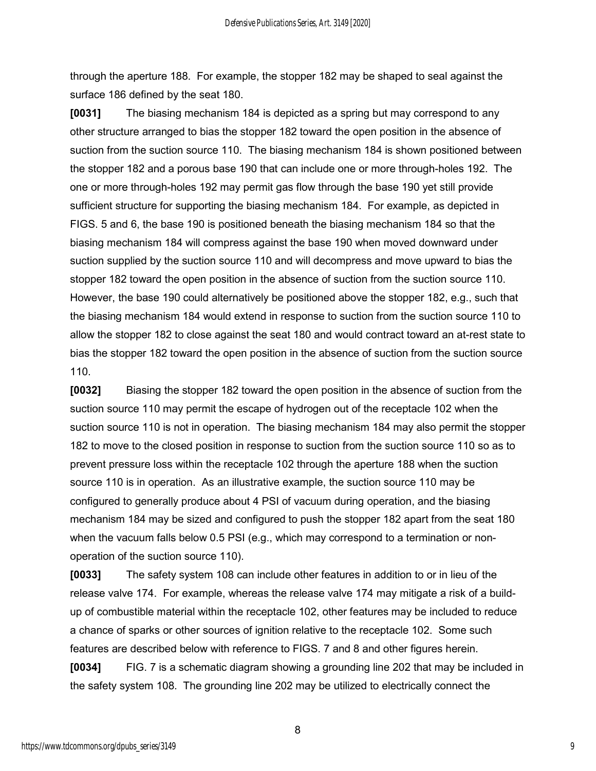through the aperture 188. For example, the stopper 182 may be shaped to seal against the surface 186 defined by the seat 180.

**[0031]** The biasing mechanism 184 is depicted as a spring but may correspond to any other structure arranged to bias the stopper 182 toward the open position in the absence of suction from the suction source 110. The biasing mechanism 184 is shown positioned between the stopper 182 and a porous base 190 that can include one or more through-holes 192. The one or more through-holes 192 may permit gas flow through the base 190 yet still provide sufficient structure for supporting the biasing mechanism 184. For example, as depicted in FIGS. 5 and 6, the base 190 is positioned beneath the biasing mechanism 184 so that the biasing mechanism 184 will compress against the base 190 when moved downward under suction supplied by the suction source 110 and will decompress and move upward to bias the stopper 182 toward the open position in the absence of suction from the suction source 110. However, the base 190 could alternatively be positioned above the stopper 182, e.g., such that the biasing mechanism 184 would extend in response to suction from the suction source 110 to allow the stopper 182 to close against the seat 180 and would contract toward an at-rest state to bias the stopper 182 toward the open position in the absence of suction from the suction source 110.

**[0032]** Biasing the stopper 182 toward the open position in the absence of suction from the suction source 110 may permit the escape of hydrogen out of the receptacle 102 when the suction source 110 is not in operation. The biasing mechanism 184 may also permit the stopper 182 to move to the closed position in response to suction from the suction source 110 so as to prevent pressure loss within the receptacle 102 through the aperture 188 when the suction source 110 is in operation. As an illustrative example, the suction source 110 may be configured to generally produce about 4 PSI of vacuum during operation, and the biasing mechanism 184 may be sized and configured to push the stopper 182 apart from the seat 180 when the vacuum falls below 0.5 PSI (e.g., which may correspond to a termination or nonoperation of the suction source 110).

**[0033]** The safety system 108 can include other features in addition to or in lieu of the release valve 174. For example, whereas the release valve 174 may mitigate a risk of a buildup of combustible material within the receptacle 102, other features may be included to reduce a chance of sparks or other sources of ignition relative to the receptacle 102. Some such features are described below with reference to FIGS. 7 and 8 and other figures herein.

**[0034]** FIG. 7 is a schematic diagram showing a grounding line 202 that may be included in the safety system 108. The grounding line 202 may be utilized to electrically connect the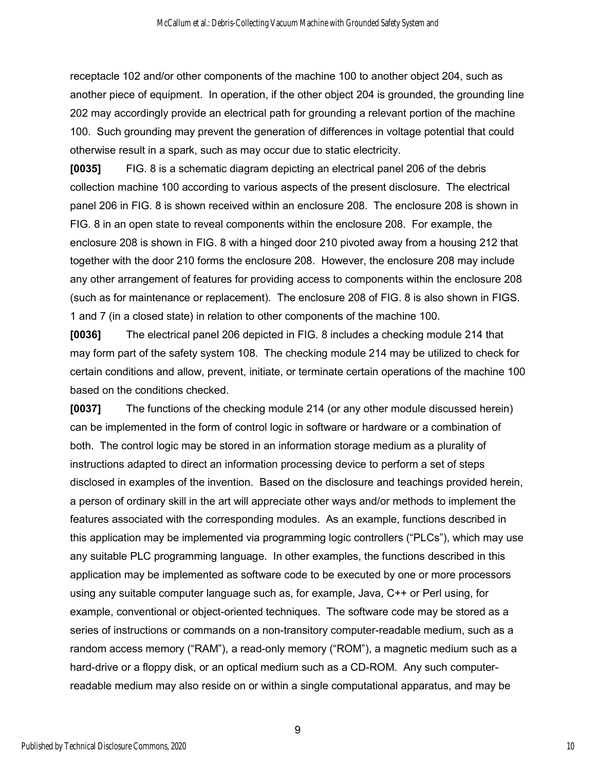receptacle 102 and/or other components of the machine 100 to another object 204, such as another piece of equipment. In operation, if the other object 204 is grounded, the grounding line 202 may accordingly provide an electrical path for grounding a relevant portion of the machine 100. Such grounding may prevent the generation of differences in voltage potential that could otherwise result in a spark, such as may occur due to static electricity.

**[0035]** FIG. 8 is a schematic diagram depicting an electrical panel 206 of the debris collection machine 100 according to various aspects of the present disclosure. The electrical panel 206 in FIG. 8 is shown received within an enclosure 208. The enclosure 208 is shown in FIG. 8 in an open state to reveal components within the enclosure 208. For example, the enclosure 208 is shown in FIG. 8 with a hinged door 210 pivoted away from a housing 212 that together with the door 210 forms the enclosure 208. However, the enclosure 208 may include any other arrangement of features for providing access to components within the enclosure 208 (such as for maintenance or replacement). The enclosure 208 of FIG. 8 is also shown in FIGS. 1 and 7 (in a closed state) in relation to other components of the machine 100.

**[0036]** The electrical panel 206 depicted in FIG. 8 includes a checking module 214 that may form part of the safety system 108. The checking module 214 may be utilized to check for certain conditions and allow, prevent, initiate, or terminate certain operations of the machine 100 based on the conditions checked.

**[0037]** The functions of the checking module 214 (or any other module discussed herein) can be implemented in the form of control logic in software or hardware or a combination of both. The control logic may be stored in an information storage medium as a plurality of instructions adapted to direct an information processing device to perform a set of steps disclosed in examples of the invention. Based on the disclosure and teachings provided herein, a person of ordinary skill in the art will appreciate other ways and/or methods to implement the features associated with the corresponding modules. As an example, functions described in this application may be implemented via programming logic controllers ("PLCs"), which may use any suitable PLC programming language. In other examples, the functions described in this application may be implemented as software code to be executed by one or more processors using any suitable computer language such as, for example, Java, C++ or Perl using, for example, conventional or object-oriented techniques. The software code may be stored as a series of instructions or commands on a non-transitory computer-readable medium, such as a random access memory ("RAM"), a read-only memory ("ROM"), a magnetic medium such as a hard-drive or a floppy disk, or an optical medium such as a CD-ROM. Any such computerreadable medium may also reside on or within a single computational apparatus, and may be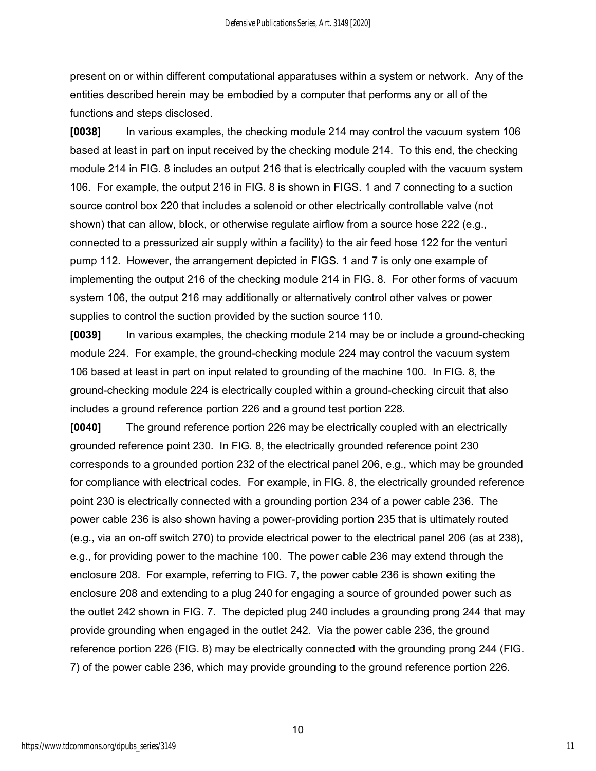present on or within different computational apparatuses within a system or network. Any of the entities described herein may be embodied by a computer that performs any or all of the functions and steps disclosed.

**[0038]** In various examples, the checking module 214 may control the vacuum system 106 based at least in part on input received by the checking module 214. To this end, the checking module 214 in FIG. 8 includes an output 216 that is electrically coupled with the vacuum system 106. For example, the output 216 in FIG. 8 is shown in FIGS. 1 and 7 connecting to a suction source control box 220 that includes a solenoid or other electrically controllable valve (not shown) that can allow, block, or otherwise regulate airflow from a source hose 222 (e.g., connected to a pressurized air supply within a facility) to the air feed hose 122 for the venturi pump 112. However, the arrangement depicted in FIGS. 1 and 7 is only one example of implementing the output 216 of the checking module 214 in FIG. 8. For other forms of vacuum system 106, the output 216 may additionally or alternatively control other valves or power supplies to control the suction provided by the suction source 110.

**[0039]** In various examples, the checking module 214 may be or include a ground-checking module 224. For example, the ground-checking module 224 may control the vacuum system 106 based at least in part on input related to grounding of the machine 100. In FIG. 8, the ground-checking module 224 is electrically coupled within a ground-checking circuit that also includes a ground reference portion 226 and a ground test portion 228.

**[0040]** The ground reference portion 226 may be electrically coupled with an electrically grounded reference point 230. In FIG. 8, the electrically grounded reference point 230 corresponds to a grounded portion 232 of the electrical panel 206, e.g., which may be grounded for compliance with electrical codes. For example, in FIG. 8, the electrically grounded reference point 230 is electrically connected with a grounding portion 234 of a power cable 236. The power cable 236 is also shown having a power-providing portion 235 that is ultimately routed (e.g., via an on-off switch 270) to provide electrical power to the electrical panel 206 (as at 238), e.g., for providing power to the machine 100. The power cable 236 may extend through the enclosure 208. For example, referring to FIG. 7, the power cable 236 is shown exiting the enclosure 208 and extending to a plug 240 for engaging a source of grounded power such as the outlet 242 shown in FIG. 7. The depicted plug 240 includes a grounding prong 244 that may provide grounding when engaged in the outlet 242. Via the power cable 236, the ground reference portion 226 (FIG. 8) may be electrically connected with the grounding prong 244 (FIG. 7) of the power cable 236, which may provide grounding to the ground reference portion 226.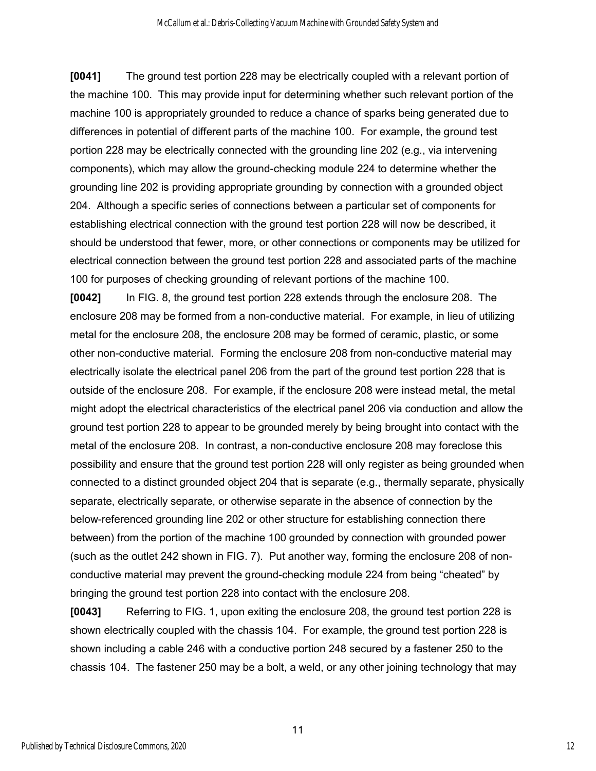**[0041]** The ground test portion 228 may be electrically coupled with a relevant portion of the machine 100. This may provide input for determining whether such relevant portion of the machine 100 is appropriately grounded to reduce a chance of sparks being generated due to differences in potential of different parts of the machine 100. For example, the ground test portion 228 may be electrically connected with the grounding line 202 (e.g., via intervening components), which may allow the ground-checking module 224 to determine whether the grounding line 202 is providing appropriate grounding by connection with a grounded object 204. Although a specific series of connections between a particular set of components for establishing electrical connection with the ground test portion 228 will now be described, it should be understood that fewer, more, or other connections or components may be utilized for electrical connection between the ground test portion 228 and associated parts of the machine 100 for purposes of checking grounding of relevant portions of the machine 100.

**[0042]** In FIG. 8, the ground test portion 228 extends through the enclosure 208. The enclosure 208 may be formed from a non-conductive material. For example, in lieu of utilizing metal for the enclosure 208, the enclosure 208 may be formed of ceramic, plastic, or some other non-conductive material. Forming the enclosure 208 from non-conductive material may electrically isolate the electrical panel 206 from the part of the ground test portion 228 that is outside of the enclosure 208. For example, if the enclosure 208 were instead metal, the metal might adopt the electrical characteristics of the electrical panel 206 via conduction and allow the ground test portion 228 to appear to be grounded merely by being brought into contact with the metal of the enclosure 208. In contrast, a non-conductive enclosure 208 may foreclose this possibility and ensure that the ground test portion 228 will only register as being grounded when connected to a distinct grounded object 204 that is separate (e.g., thermally separate, physically separate, electrically separate, or otherwise separate in the absence of connection by the below-referenced grounding line 202 or other structure for establishing connection there between) from the portion of the machine 100 grounded by connection with grounded power (such as the outlet 242 shown in FIG. 7). Put another way, forming the enclosure 208 of nonconductive material may prevent the ground-checking module 224 from being "cheated" by bringing the ground test portion 228 into contact with the enclosure 208.

**[0043]** Referring to FIG. 1, upon exiting the enclosure 208, the ground test portion 228 is shown electrically coupled with the chassis 104. For example, the ground test portion 228 is shown including a cable 246 with a conductive portion 248 secured by a fastener 250 to the chassis 104. The fastener 250 may be a bolt, a weld, or any other joining technology that may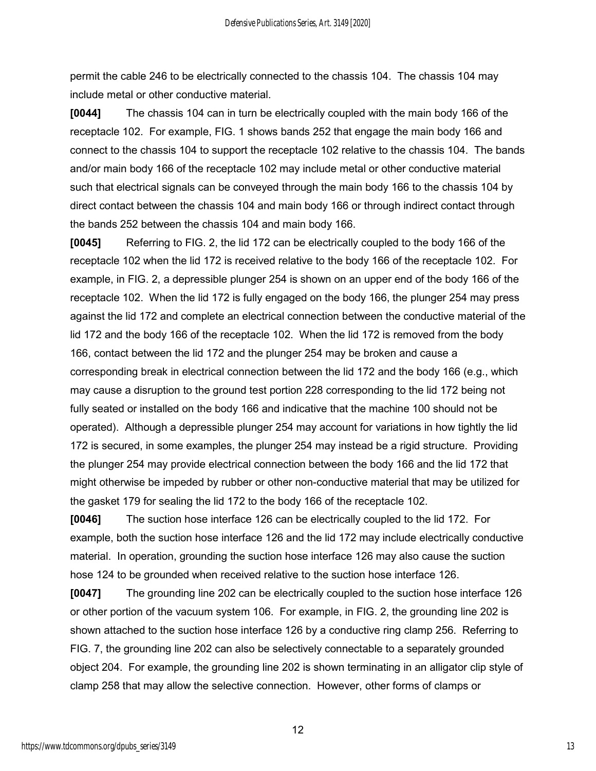permit the cable 246 to be electrically connected to the chassis 104. The chassis 104 may include metal or other conductive material.

**[0044]** The chassis 104 can in turn be electrically coupled with the main body 166 of the receptacle 102. For example, FIG. 1 shows bands 252 that engage the main body 166 and connect to the chassis 104 to support the receptacle 102 relative to the chassis 104. The bands and/or main body 166 of the receptacle 102 may include metal or other conductive material such that electrical signals can be conveyed through the main body 166 to the chassis 104 by direct contact between the chassis 104 and main body 166 or through indirect contact through the bands 252 between the chassis 104 and main body 166.

**[0045]** Referring to FIG. 2, the lid 172 can be electrically coupled to the body 166 of the receptacle 102 when the lid 172 is received relative to the body 166 of the receptacle 102. For example, in FIG. 2, a depressible plunger 254 is shown on an upper end of the body 166 of the receptacle 102. When the lid 172 is fully engaged on the body 166, the plunger 254 may press against the lid 172 and complete an electrical connection between the conductive material of the lid 172 and the body 166 of the receptacle 102. When the lid 172 is removed from the body 166, contact between the lid 172 and the plunger 254 may be broken and cause a corresponding break in electrical connection between the lid 172 and the body 166 (e.g., which may cause a disruption to the ground test portion 228 corresponding to the lid 172 being not fully seated or installed on the body 166 and indicative that the machine 100 should not be operated). Although a depressible plunger 254 may account for variations in how tightly the lid 172 is secured, in some examples, the plunger 254 may instead be a rigid structure. Providing the plunger 254 may provide electrical connection between the body 166 and the lid 172 that might otherwise be impeded by rubber or other non-conductive material that may be utilized for the gasket 179 for sealing the lid 172 to the body 166 of the receptacle 102.

**[0046]** The suction hose interface 126 can be electrically coupled to the lid 172. For example, both the suction hose interface 126 and the lid 172 may include electrically conductive material. In operation, grounding the suction hose interface 126 may also cause the suction hose 124 to be grounded when received relative to the suction hose interface 126.

**[0047]** The grounding line 202 can be electrically coupled to the suction hose interface 126 or other portion of the vacuum system 106. For example, in FIG. 2, the grounding line 202 is shown attached to the suction hose interface 126 by a conductive ring clamp 256. Referring to FIG. 7, the grounding line 202 can also be selectively connectable to a separately grounded object 204. For example, the grounding line 202 is shown terminating in an alligator clip style of clamp 258 that may allow the selective connection. However, other forms of clamps or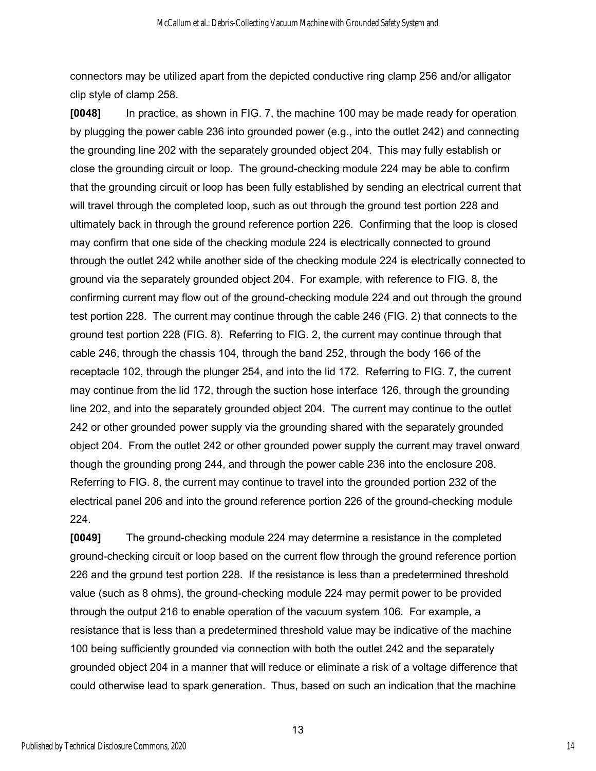connectors may be utilized apart from the depicted conductive ring clamp 256 and/or alligator clip style of clamp 258.

**[0048]** In practice, as shown in FIG. 7, the machine 100 may be made ready for operation by plugging the power cable 236 into grounded power (e.g., into the outlet 242) and connecting the grounding line 202 with the separately grounded object 204. This may fully establish or close the grounding circuit or loop. The ground-checking module 224 may be able to confirm that the grounding circuit or loop has been fully established by sending an electrical current that will travel through the completed loop, such as out through the ground test portion 228 and ultimately back in through the ground reference portion 226. Confirming that the loop is closed may confirm that one side of the checking module 224 is electrically connected to ground through the outlet 242 while another side of the checking module 224 is electrically connected to ground via the separately grounded object 204. For example, with reference to FIG. 8, the confirming current may flow out of the ground-checking module 224 and out through the ground test portion 228. The current may continue through the cable 246 (FIG. 2) that connects to the ground test portion 228 (FIG. 8). Referring to FIG. 2, the current may continue through that cable 246, through the chassis 104, through the band 252, through the body 166 of the receptacle 102, through the plunger 254, and into the lid 172. Referring to FIG. 7, the current may continue from the lid 172, through the suction hose interface 126, through the grounding line 202, and into the separately grounded object 204. The current may continue to the outlet 242 or other grounded power supply via the grounding shared with the separately grounded object 204. From the outlet 242 or other grounded power supply the current may travel onward though the grounding prong 244, and through the power cable 236 into the enclosure 208. Referring to FIG. 8, the current may continue to travel into the grounded portion 232 of the electrical panel 206 and into the ground reference portion 226 of the ground-checking module 224.

**[0049]** The ground-checking module 224 may determine a resistance in the completed ground-checking circuit or loop based on the current flow through the ground reference portion 226 and the ground test portion 228. If the resistance is less than a predetermined threshold value (such as 8 ohms), the ground-checking module 224 may permit power to be provided through the output 216 to enable operation of the vacuum system 106. For example, a resistance that is less than a predetermined threshold value may be indicative of the machine 100 being sufficiently grounded via connection with both the outlet 242 and the separately grounded object 204 in a manner that will reduce or eliminate a risk of a voltage difference that could otherwise lead to spark generation. Thus, based on such an indication that the machine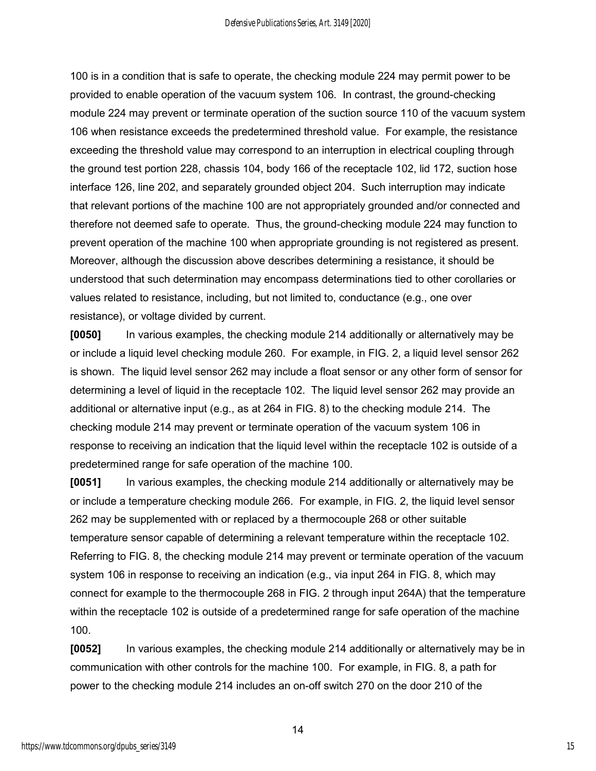100 is in a condition that is safe to operate, the checking module 224 may permit power to be provided to enable operation of the vacuum system 106. In contrast, the ground-checking module 224 may prevent or terminate operation of the suction source 110 of the vacuum system 106 when resistance exceeds the predetermined threshold value. For example, the resistance exceeding the threshold value may correspond to an interruption in electrical coupling through the ground test portion 228, chassis 104, body 166 of the receptacle 102, lid 172, suction hose interface 126, line 202, and separately grounded object 204. Such interruption may indicate that relevant portions of the machine 100 are not appropriately grounded and/or connected and therefore not deemed safe to operate. Thus, the ground-checking module 224 may function to prevent operation of the machine 100 when appropriate grounding is not registered as present. Moreover, although the discussion above describes determining a resistance, it should be understood that such determination may encompass determinations tied to other corollaries or values related to resistance, including, but not limited to, conductance (e.g., one over resistance), or voltage divided by current.

**[0050]** In various examples, the checking module 214 additionally or alternatively may be or include a liquid level checking module 260. For example, in FIG. 2, a liquid level sensor 262 is shown. The liquid level sensor 262 may include a float sensor or any other form of sensor for determining a level of liquid in the receptacle 102. The liquid level sensor 262 may provide an additional or alternative input (e.g., as at 264 in FIG. 8) to the checking module 214. The checking module 214 may prevent or terminate operation of the vacuum system 106 in response to receiving an indication that the liquid level within the receptacle 102 is outside of a predetermined range for safe operation of the machine 100.

**[0051]** In various examples, the checking module 214 additionally or alternatively may be or include a temperature checking module 266. For example, in FIG. 2, the liquid level sensor 262 may be supplemented with or replaced by a thermocouple 268 or other suitable temperature sensor capable of determining a relevant temperature within the receptacle 102. Referring to FIG. 8, the checking module 214 may prevent or terminate operation of the vacuum system 106 in response to receiving an indication (e.g., via input 264 in FIG. 8, which may connect for example to the thermocouple 268 in FIG. 2 through input 264A) that the temperature within the receptacle 102 is outside of a predetermined range for safe operation of the machine 100.

**[0052]** In various examples, the checking module 214 additionally or alternatively may be in communication with other controls for the machine 100. For example, in FIG. 8, a path for power to the checking module 214 includes an on-off switch 270 on the door 210 of the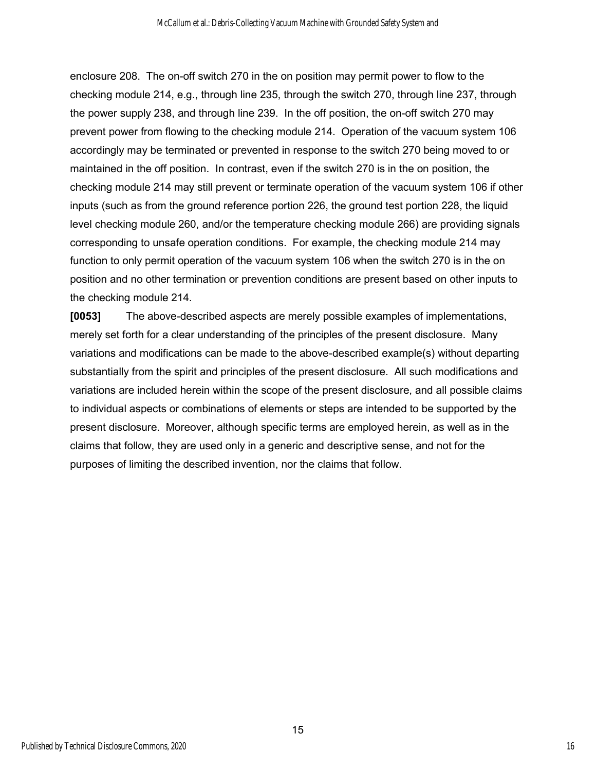enclosure 208. The on-off switch 270 in the on position may permit power to flow to the checking module 214, e.g., through line 235, through the switch 270, through line 237, through the power supply 238, and through line 239. In the off position, the on-off switch 270 may prevent power from flowing to the checking module 214. Operation of the vacuum system 106 accordingly may be terminated or prevented in response to the switch 270 being moved to or maintained in the off position. In contrast, even if the switch 270 is in the on position, the checking module 214 may still prevent or terminate operation of the vacuum system 106 if other inputs (such as from the ground reference portion 226, the ground test portion 228, the liquid level checking module 260, and/or the temperature checking module 266) are providing signals corresponding to unsafe operation conditions. For example, the checking module 214 may function to only permit operation of the vacuum system 106 when the switch 270 is in the on position and no other termination or prevention conditions are present based on other inputs to the checking module 214.

**[0053]** The above-described aspects are merely possible examples of implementations, merely set forth for a clear understanding of the principles of the present disclosure. Many variations and modifications can be made to the above-described example(s) without departing substantially from the spirit and principles of the present disclosure. All such modifications and variations are included herein within the scope of the present disclosure, and all possible claims to individual aspects or combinations of elements or steps are intended to be supported by the present disclosure. Moreover, although specific terms are employed herein, as well as in the claims that follow, they are used only in a generic and descriptive sense, and not for the purposes of limiting the described invention, nor the claims that follow.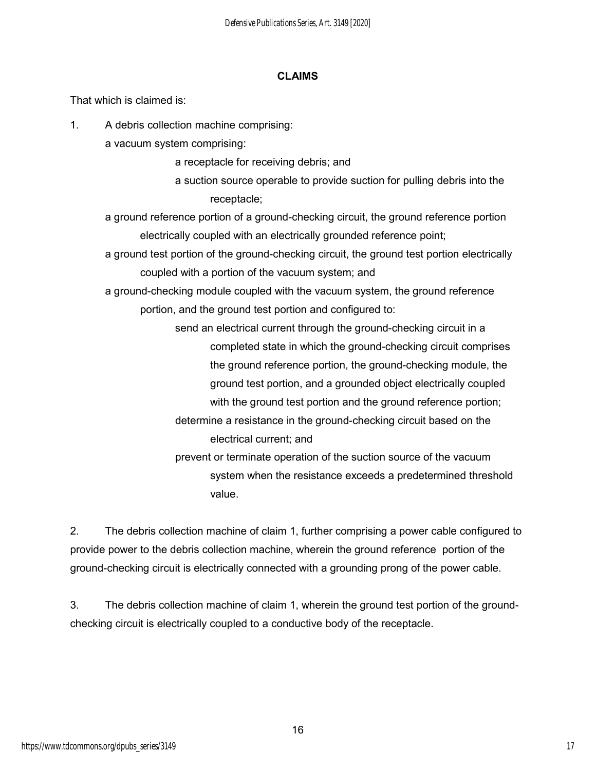#### **CLAIMS**

That which is claimed is:

1. A debris collection machine comprising:

a vacuum system comprising:

a receptacle for receiving debris; and

a suction source operable to provide suction for pulling debris into the receptacle;

a ground reference portion of a ground-checking circuit, the ground reference portion electrically coupled with an electrically grounded reference point;

a ground test portion of the ground-checking circuit, the ground test portion electrically coupled with a portion of the vacuum system; and

a ground-checking module coupled with the vacuum system, the ground reference portion, and the ground test portion and configured to:

> send an electrical current through the ground-checking circuit in a completed state in which the ground-checking circuit comprises the ground reference portion, the ground-checking module, the ground test portion, and a grounded object electrically coupled with the ground test portion and the ground reference portion; determine a resistance in the ground-checking circuit based on the electrical current; and prevent or terminate operation of the suction source of the vacuum system when the resistance exceeds a predetermined threshold

value.

2. The debris collection machine of claim 1, further comprising a power cable configured to provide power to the debris collection machine, wherein the ground reference portion of the ground-checking circuit is electrically connected with a grounding prong of the power cable.

3. The debris collection machine of claim 1, wherein the ground test portion of the groundchecking circuit is electrically coupled to a conductive body of the receptacle.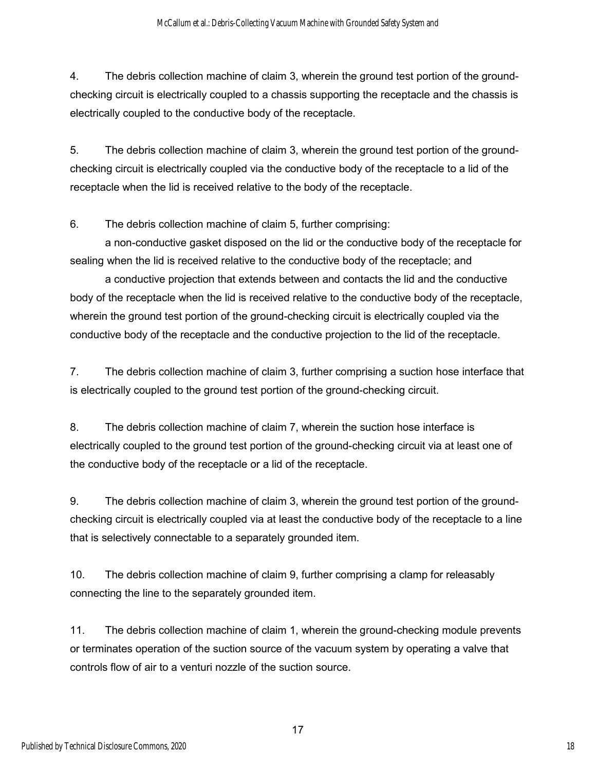4. The debris collection machine of claim 3, wherein the ground test portion of the groundchecking circuit is electrically coupled to a chassis supporting the receptacle and the chassis is electrically coupled to the conductive body of the receptacle.

5. The debris collection machine of claim 3, wherein the ground test portion of the groundchecking circuit is electrically coupled via the conductive body of the receptacle to a lid of the receptacle when the lid is received relative to the body of the receptacle.

6. The debris collection machine of claim 5, further comprising:

a non-conductive gasket disposed on the lid or the conductive body of the receptacle for sealing when the lid is received relative to the conductive body of the receptacle; and

a conductive projection that extends between and contacts the lid and the conductive body of the receptacle when the lid is received relative to the conductive body of the receptacle, wherein the ground test portion of the ground-checking circuit is electrically coupled via the conductive body of the receptacle and the conductive projection to the lid of the receptacle.

7. The debris collection machine of claim 3, further comprising a suction hose interface that is electrically coupled to the ground test portion of the ground-checking circuit.

8. The debris collection machine of claim 7, wherein the suction hose interface is electrically coupled to the ground test portion of the ground-checking circuit via at least one of the conductive body of the receptacle or a lid of the receptacle.

9. The debris collection machine of claim 3, wherein the ground test portion of the groundchecking circuit is electrically coupled via at least the conductive body of the receptacle to a line that is selectively connectable to a separately grounded item.

10. The debris collection machine of claim 9, further comprising a clamp for releasably connecting the line to the separately grounded item.

11. The debris collection machine of claim 1, wherein the ground-checking module prevents or terminates operation of the suction source of the vacuum system by operating a valve that controls flow of air to a venturi nozzle of the suction source.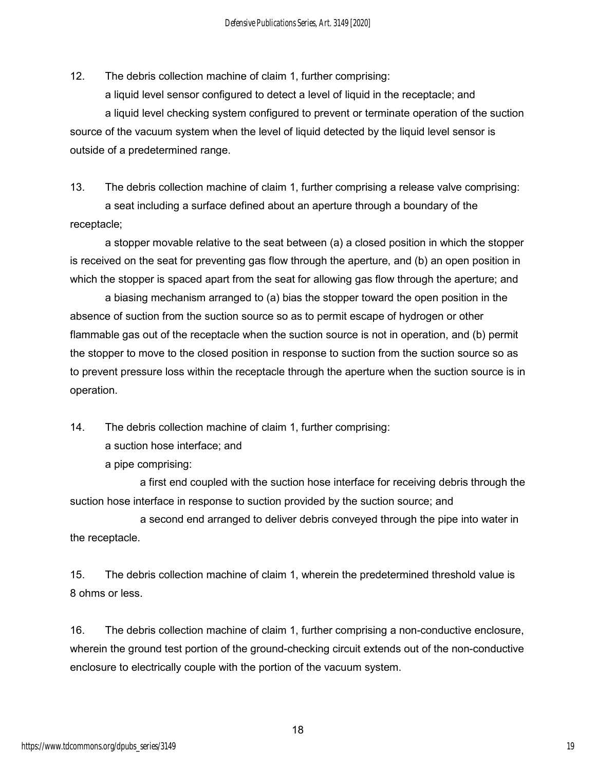12. The debris collection machine of claim 1, further comprising:

a liquid level sensor configured to detect a level of liquid in the receptacle; and a liquid level checking system configured to prevent or terminate operation of the suction source of the vacuum system when the level of liquid detected by the liquid level sensor is outside of a predetermined range.

13. The debris collection machine of claim 1, further comprising a release valve comprising: a seat including a surface defined about an aperture through a boundary of the receptacle;

a stopper movable relative to the seat between (a) a closed position in which the stopper is received on the seat for preventing gas flow through the aperture, and (b) an open position in which the stopper is spaced apart from the seat for allowing gas flow through the aperture; and

a biasing mechanism arranged to (a) bias the stopper toward the open position in the absence of suction from the suction source so as to permit escape of hydrogen or other flammable gas out of the receptacle when the suction source is not in operation, and (b) permit the stopper to move to the closed position in response to suction from the suction source so as to prevent pressure loss within the receptacle through the aperture when the suction source is in operation.

14. The debris collection machine of claim 1, further comprising:

a suction hose interface; and

a pipe comprising:

 a first end coupled with the suction hose interface for receiving debris through the suction hose interface in response to suction provided by the suction source; and

 a second end arranged to deliver debris conveyed through the pipe into water in the receptacle.

15. The debris collection machine of claim 1, wherein the predetermined threshold value is 8 ohms or less.

16. The debris collection machine of claim 1, further comprising a non-conductive enclosure, wherein the ground test portion of the ground-checking circuit extends out of the non-conductive enclosure to electrically couple with the portion of the vacuum system.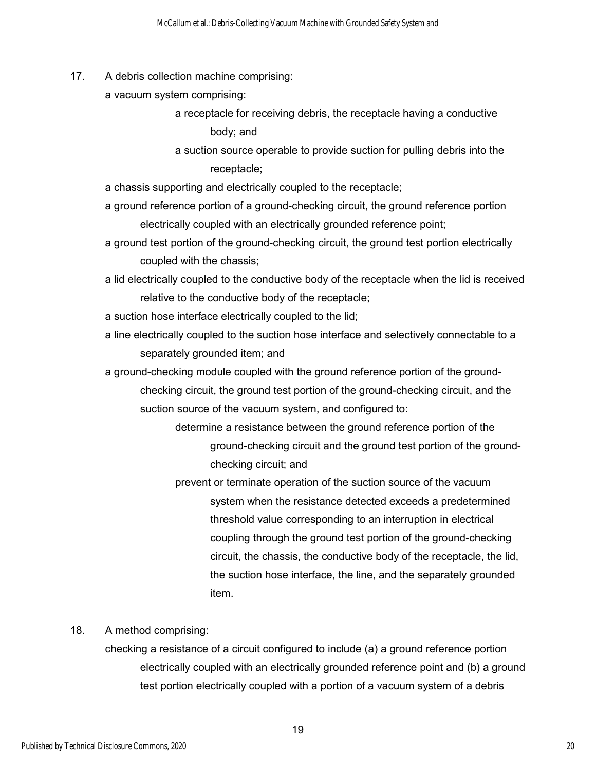17. A debris collection machine comprising:

a vacuum system comprising:

a receptacle for receiving debris, the receptacle having a conductive body; and

a suction source operable to provide suction for pulling debris into the receptacle;

a chassis supporting and electrically coupled to the receptacle;

- a ground reference portion of a ground-checking circuit, the ground reference portion electrically coupled with an electrically grounded reference point;
- a ground test portion of the ground-checking circuit, the ground test portion electrically coupled with the chassis;
- a lid electrically coupled to the conductive body of the receptacle when the lid is received relative to the conductive body of the receptacle;
- a suction hose interface electrically coupled to the lid;
- a line electrically coupled to the suction hose interface and selectively connectable to a separately grounded item; and
- a ground-checking module coupled with the ground reference portion of the groundchecking circuit, the ground test portion of the ground-checking circuit, and the suction source of the vacuum system, and configured to:
	- determine a resistance between the ground reference portion of the ground-checking circuit and the ground test portion of the groundchecking circuit; and
	- prevent or terminate operation of the suction source of the vacuum system when the resistance detected exceeds a predetermined threshold value corresponding to an interruption in electrical coupling through the ground test portion of the ground-checking circuit, the chassis, the conductive body of the receptacle, the lid, the suction hose interface, the line, and the separately grounded item.

18. A method comprising:

checking a resistance of a circuit configured to include (a) a ground reference portion electrically coupled with an electrically grounded reference point and (b) a ground test portion electrically coupled with a portion of a vacuum system of a debris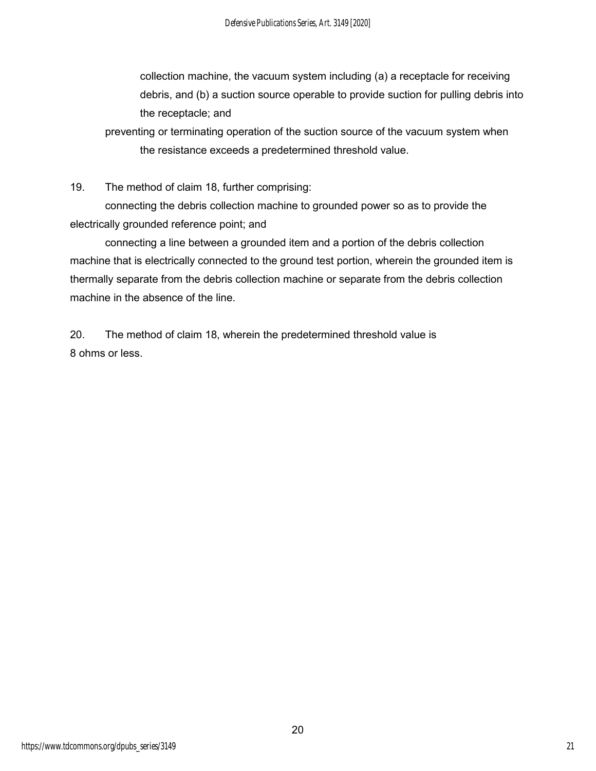collection machine, the vacuum system including (a) a receptacle for receiving debris, and (b) a suction source operable to provide suction for pulling debris into the receptacle; and

preventing or terminating operation of the suction source of the vacuum system when the resistance exceeds a predetermined threshold value.

19. The method of claim 18, further comprising:

connecting the debris collection machine to grounded power so as to provide the electrically grounded reference point; and

connecting a line between a grounded item and a portion of the debris collection machine that is electrically connected to the ground test portion, wherein the grounded item is thermally separate from the debris collection machine or separate from the debris collection machine in the absence of the line.

20. The method of claim 18, wherein the predetermined threshold value is 8 ohms or less.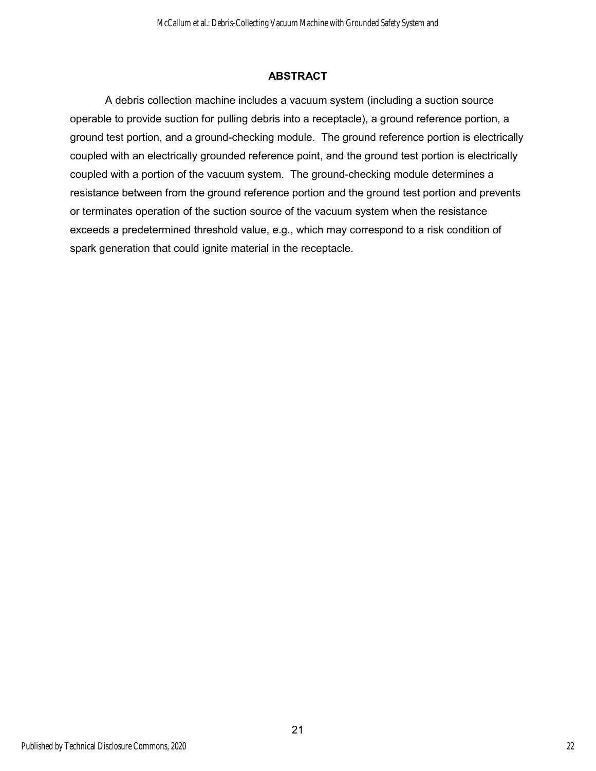### **ABSTRACT**

A debris collection machine includes a vacuum system (including a suction source operable to provide suction for pulling debris into a receptacle), a ground reference portion, a ground test portion, and a ground-checking module. The ground reference portion is electrically coupled with an electrically grounded reference point, and the ground test portion is electrically coupled with a portion of the vacuum system. The ground-checking module determines a resistance between from the ground reference portion and the ground test portion and prevents or terminates operation of the suction source of the vacuum system when the resistance exceeds a predetermined threshold value, e.g., which may correspond to a risk condition of spark generation that could ignite material in the receptacle.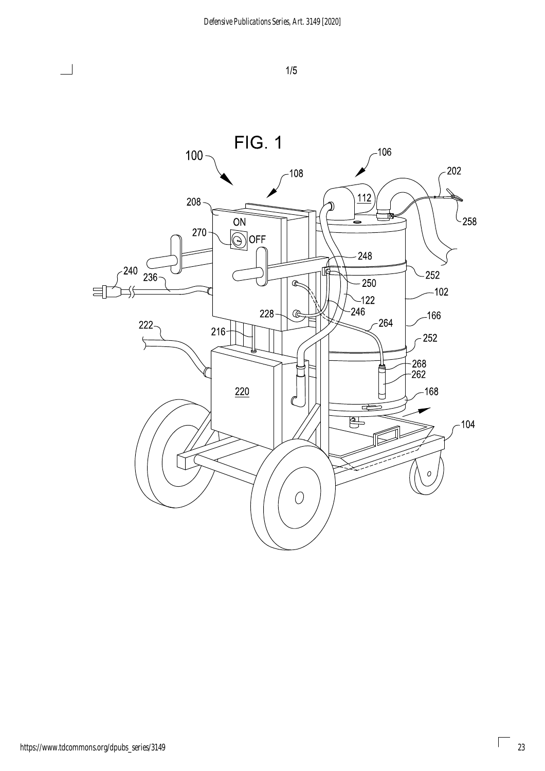

 $\overline{\phantom{0}}$ 

 $\lceil$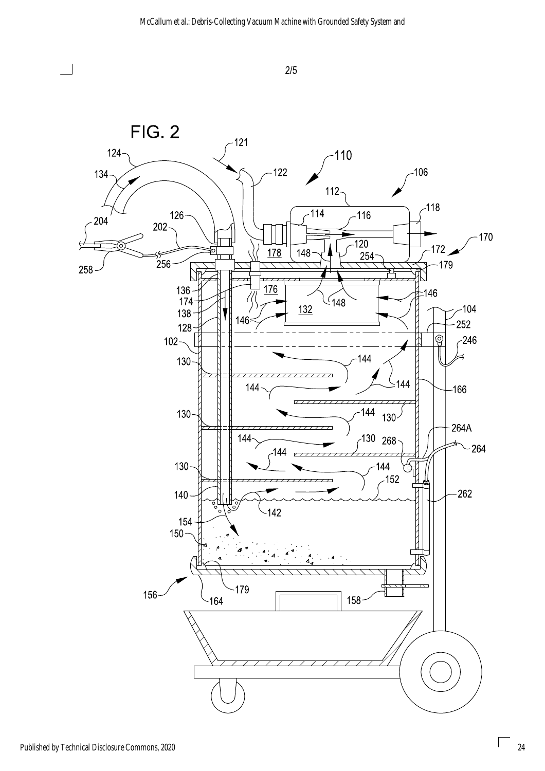



 $\Box$ 

ſ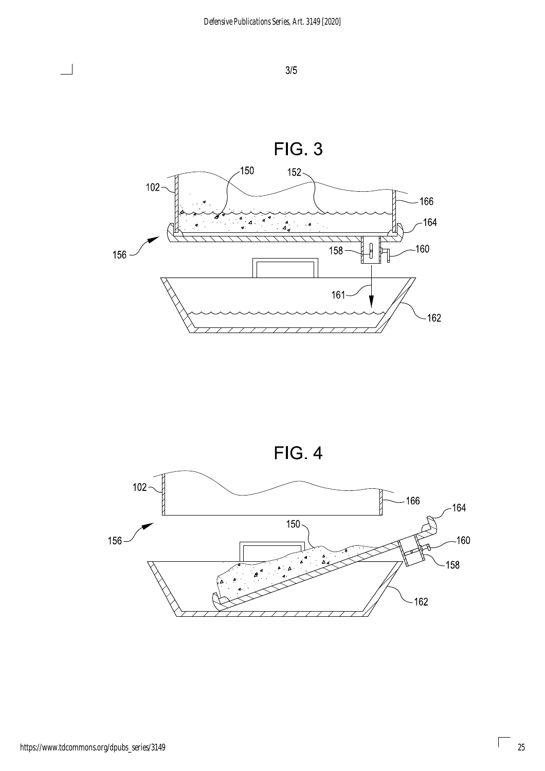

![](_page_25_Figure_3.jpeg)

![](_page_25_Figure_4.jpeg)

 $\overline{\phantom{0}}$ 

 $\begin{bmatrix} \phantom{-} \end{bmatrix}$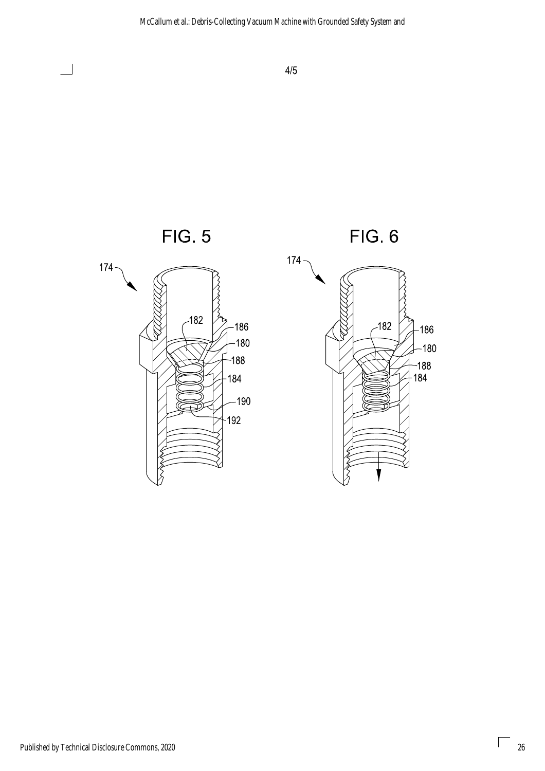![](_page_26_Figure_1.jpeg)

ſ